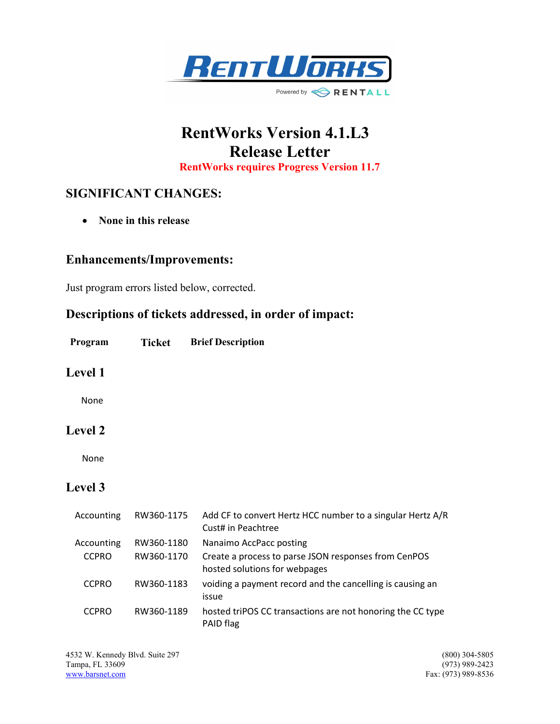

# RentWorks Version 4.1.L3 Release Letter RentWorks requires Progress Version 11.7

## SIGNIFICANT CHANGES:

• None in this release

#### Enhancements/Improvements:

Just program errors listed below, corrected.

## Descriptions of tickets addressed, in order of impact:

Program Ticket Brief Description

#### Level 1

None

### Level 2

None

### Level 3

| Accounting   | RW360-1175 | Add CF to convert Hertz HCC number to a singular Hertz A/R<br>Cust# in Peachtree      |
|--------------|------------|---------------------------------------------------------------------------------------|
| Accounting   | RW360-1180 | Nanaimo AccPacc posting                                                               |
| <b>CCPRO</b> | RW360-1170 | Create a process to parse JSON responses from CenPOS<br>hosted solutions for webpages |
| <b>CCPRO</b> | RW360-1183 | voiding a payment record and the cancelling is causing an<br>issue                    |
| <b>CCPRO</b> | RW360-1189 | hosted triPOS CC transactions are not honoring the CC type<br>PAID flag               |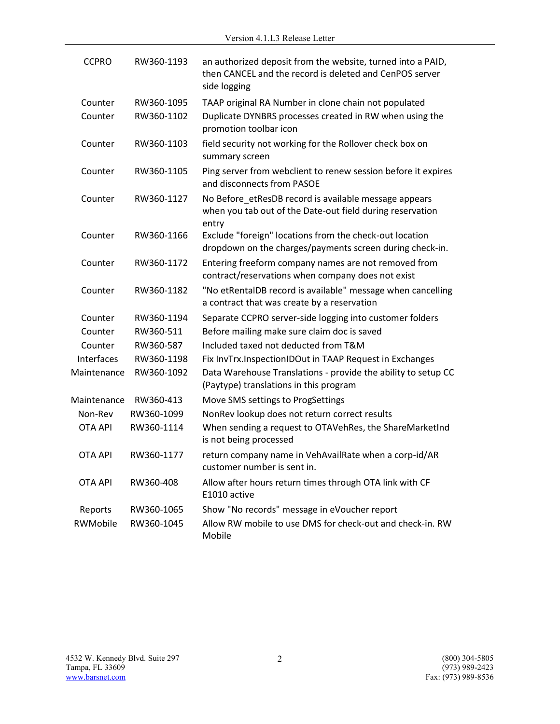| <b>CCPRO</b>   | RW360-1193 | an authorized deposit from the website, turned into a PAID,<br>then CANCEL and the record is deleted and CenPOS server<br>side logging |
|----------------|------------|----------------------------------------------------------------------------------------------------------------------------------------|
| Counter        | RW360-1095 | TAAP original RA Number in clone chain not populated                                                                                   |
| Counter        | RW360-1102 | Duplicate DYNBRS processes created in RW when using the<br>promotion toolbar icon                                                      |
| Counter        | RW360-1103 | field security not working for the Rollover check box on<br>summary screen                                                             |
| Counter        | RW360-1105 | Ping server from webclient to renew session before it expires<br>and disconnects from PASOE                                            |
| Counter        | RW360-1127 | No Before_etResDB record is available message appears<br>when you tab out of the Date-out field during reservation<br>entry            |
| Counter        | RW360-1166 | Exclude "foreign" locations from the check-out location<br>dropdown on the charges/payments screen during check-in.                    |
| Counter        | RW360-1172 | Entering freeform company names are not removed from<br>contract/reservations when company does not exist                              |
| Counter        | RW360-1182 | "No etRentalDB record is available" message when cancelling<br>a contract that was create by a reservation                             |
| Counter        | RW360-1194 | Separate CCPRO server-side logging into customer folders                                                                               |
| Counter        | RW360-511  | Before mailing make sure claim doc is saved                                                                                            |
| Counter        | RW360-587  | Included taxed not deducted from T&M                                                                                                   |
| Interfaces     | RW360-1198 | Fix InvTrx.InspectionIDOut in TAAP Request in Exchanges                                                                                |
| Maintenance    | RW360-1092 | Data Warehouse Translations - provide the ability to setup CC<br>(Paytype) translations in this program                                |
| Maintenance    | RW360-413  | Move SMS settings to ProgSettings                                                                                                      |
| Non-Rev        | RW360-1099 | NonRev lookup does not return correct results                                                                                          |
| <b>OTA API</b> | RW360-1114 | When sending a request to OTAVehRes, the ShareMarketInd<br>is not being processed                                                      |
| <b>OTA API</b> | RW360-1177 | return company name in VehAvailRate when a corp-id/AR<br>customer number is sent in.                                                   |
| <b>OTA API</b> | RW360-408  | Allow after hours return times through OTA link with CF<br>E1010 active                                                                |
| Reports        | RW360-1065 | Show "No records" message in eVoucher report                                                                                           |
| RWMobile       | RW360-1045 | Allow RW mobile to use DMS for check-out and check-in. RW<br>Mobile                                                                    |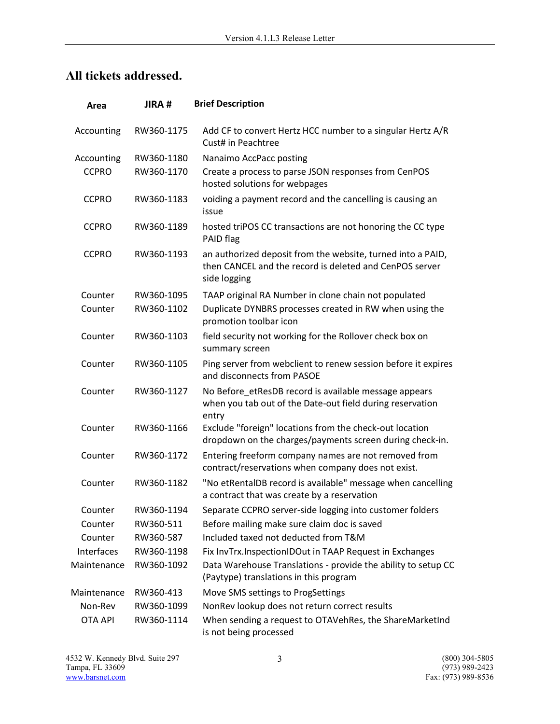## All tickets addressed.

| Area           | JIRA#      | <b>Brief Description</b>                                                                                                               |
|----------------|------------|----------------------------------------------------------------------------------------------------------------------------------------|
| Accounting     | RW360-1175 | Add CF to convert Hertz HCC number to a singular Hertz A/R<br>Cust# in Peachtree                                                       |
| Accounting     | RW360-1180 | Nanaimo AccPacc posting                                                                                                                |
| <b>CCPRO</b>   | RW360-1170 | Create a process to parse JSON responses from CenPOS<br>hosted solutions for webpages                                                  |
| <b>CCPRO</b>   | RW360-1183 | voiding a payment record and the cancelling is causing an<br>issue                                                                     |
| <b>CCPRO</b>   | RW360-1189 | hosted triPOS CC transactions are not honoring the CC type<br>PAID flag                                                                |
| <b>CCPRO</b>   | RW360-1193 | an authorized deposit from the website, turned into a PAID,<br>then CANCEL and the record is deleted and CenPOS server<br>side logging |
| Counter        | RW360-1095 | TAAP original RA Number in clone chain not populated                                                                                   |
| Counter        | RW360-1102 | Duplicate DYNBRS processes created in RW when using the<br>promotion toolbar icon                                                      |
| Counter        | RW360-1103 | field security not working for the Rollover check box on<br>summary screen                                                             |
| Counter        | RW360-1105 | Ping server from webclient to renew session before it expires<br>and disconnects from PASOE                                            |
| Counter        | RW360-1127 | No Before_etResDB record is available message appears<br>when you tab out of the Date-out field during reservation<br>entry            |
| Counter        | RW360-1166 | Exclude "foreign" locations from the check-out location<br>dropdown on the charges/payments screen during check-in.                    |
| Counter        | RW360-1172 | Entering freeform company names are not removed from<br>contract/reservations when company does not exist.                             |
| Counter        | RW360-1182 | "No etRentalDB record is available" message when cancelling<br>a contract that was create by a reservation                             |
| Counter        | RW360-1194 | Separate CCPRO server-side logging into customer folders                                                                               |
| Counter        | RW360-511  | Before mailing make sure claim doc is saved                                                                                            |
| Counter        | RW360-587  | Included taxed not deducted from T&M                                                                                                   |
| Interfaces     | RW360-1198 | Fix InvTrx.InspectionIDOut in TAAP Request in Exchanges                                                                                |
| Maintenance    | RW360-1092 | Data Warehouse Translations - provide the ability to setup CC<br>(Paytype) translations in this program                                |
| Maintenance    | RW360-413  | Move SMS settings to ProgSettings                                                                                                      |
| Non-Rev        | RW360-1099 | NonRev lookup does not return correct results                                                                                          |
| <b>OTA API</b> | RW360-1114 | When sending a request to OTAVehRes, the ShareMarketInd<br>is not being processed                                                      |